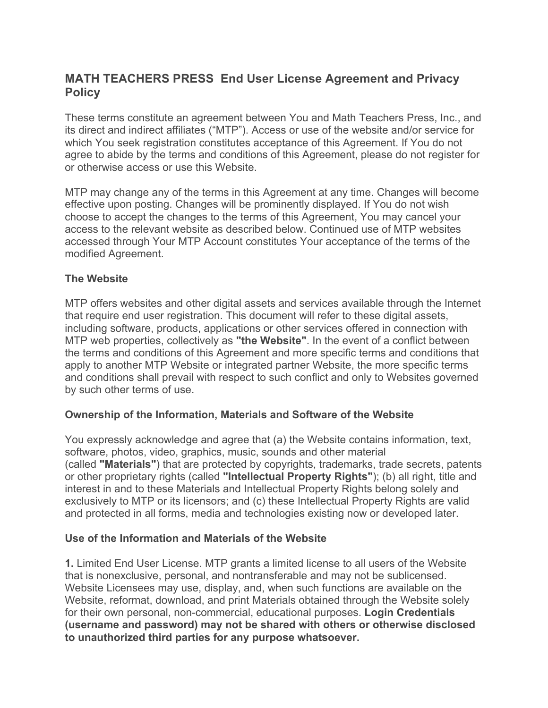# **MATH TEACHERS PRESS End User License Agreement and Privacy Policy**

These terms constitute an agreement between You and Math Teachers Press, Inc., and its direct and indirect affiliates ("MTP"). Access or use of the website and/or service for which You seek registration constitutes acceptance of this Agreement. If You do not agree to abide by the terms and conditions of this Agreement, please do not register for or otherwise access or use this Website.

MTP may change any of the terms in this Agreement at any time. Changes will become effective upon posting. Changes will be prominently displayed. If You do not wish choose to accept the changes to the terms of this Agreement, You may cancel your access to the relevant website as described below. Continued use of MTP websites accessed through Your MTP Account constitutes Your acceptance of the terms of the modified Agreement.

#### **The Website**

MTP offers websites and other digital assets and services available through the Internet that require end user registration. This document will refer to these digital assets, including software, products, applications or other services offered in connection with MTP web properties, collectively as **"the Website"**. In the event of a conflict between the terms and conditions of this Agreement and more specific terms and conditions that apply to another MTP Website or integrated partner Website, the more specific terms and conditions shall prevail with respect to such conflict and only to Websites governed by such other terms of use.

#### **Ownership of the Information, Materials and Software of the Website**

You expressly acknowledge and agree that (a) the Website contains information, text, software, photos, video, graphics, music, sounds and other material (called **"Materials"**) that are protected by copyrights, trademarks, trade secrets, patents or other proprietary rights (called **"Intellectual Property Rights"**); (b) all right, title and interest in and to these Materials and Intellectual Property Rights belong solely and exclusively to MTP or its licensors; and (c) these Intellectual Property Rights are valid and protected in all forms, media and technologies existing now or developed later.

#### **Use of the Information and Materials of the Website**

**1.** Limited End User License. MTP grants a limited license to all users of the Website that is nonexclusive, personal, and nontransferable and may not be sublicensed. Website Licensees may use, display, and, when such functions are available on the Website, reformat, download, and print Materials obtained through the Website solely for their own personal, non-commercial, educational purposes. **Login Credentials (username and password) may not be shared with others or otherwise disclosed to unauthorized third parties for any purpose whatsoever.**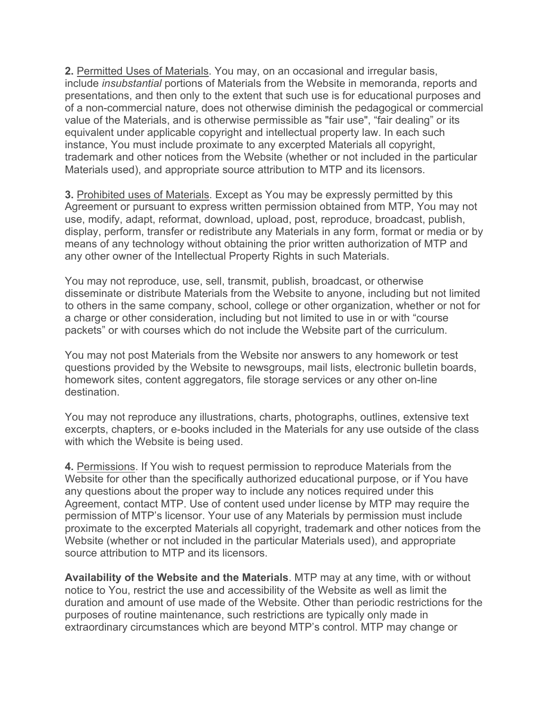**2.** Permitted Uses of Materials. You may, on an occasional and irregular basis, include *insubstantial* portions of Materials from the Website in memoranda, reports and presentations, and then only to the extent that such use is for educational purposes and of a non-commercial nature, does not otherwise diminish the pedagogical or commercial value of the Materials, and is otherwise permissible as "fair use", "fair dealing" or its equivalent under applicable copyright and intellectual property law. In each such instance, You must include proximate to any excerpted Materials all copyright, trademark and other notices from the Website (whether or not included in the particular Materials used), and appropriate source attribution to MTP and its licensors.

**3.** Prohibited uses of Materials. Except as You may be expressly permitted by this Agreement or pursuant to express written permission obtained from MTP, You may not use, modify, adapt, reformat, download, upload, post, reproduce, broadcast, publish, display, perform, transfer or redistribute any Materials in any form, format or media or by means of any technology without obtaining the prior written authorization of MTP and any other owner of the Intellectual Property Rights in such Materials.

You may not reproduce, use, sell, transmit, publish, broadcast, or otherwise disseminate or distribute Materials from the Website to anyone, including but not limited to others in the same company, school, college or other organization, whether or not for a charge or other consideration, including but not limited to use in or with "course packets" or with courses which do not include the Website part of the curriculum.

You may not post Materials from the Website nor answers to any homework or test questions provided by the Website to newsgroups, mail lists, electronic bulletin boards, homework sites, content aggregators, file storage services or any other on-line destination.

You may not reproduce any illustrations, charts, photographs, outlines, extensive text excerpts, chapters, or e-books included in the Materials for any use outside of the class with which the Website is being used.

**4.** Permissions. If You wish to request permission to reproduce Materials from the Website for other than the specifically authorized educational purpose, or if You have any questions about the proper way to include any notices required under this Agreement, contact MTP. Use of content used under license by MTP may require the permission of MTP's licensor. Your use of any Materials by permission must include proximate to the excerpted Materials all copyright, trademark and other notices from the Website (whether or not included in the particular Materials used), and appropriate source attribution to MTP and its licensors.

**Availability of the Website and the Materials**. MTP may at any time, with or without notice to You, restrict the use and accessibility of the Website as well as limit the duration and amount of use made of the Website. Other than periodic restrictions for the purposes of routine maintenance, such restrictions are typically only made in extraordinary circumstances which are beyond MTP's control. MTP may change or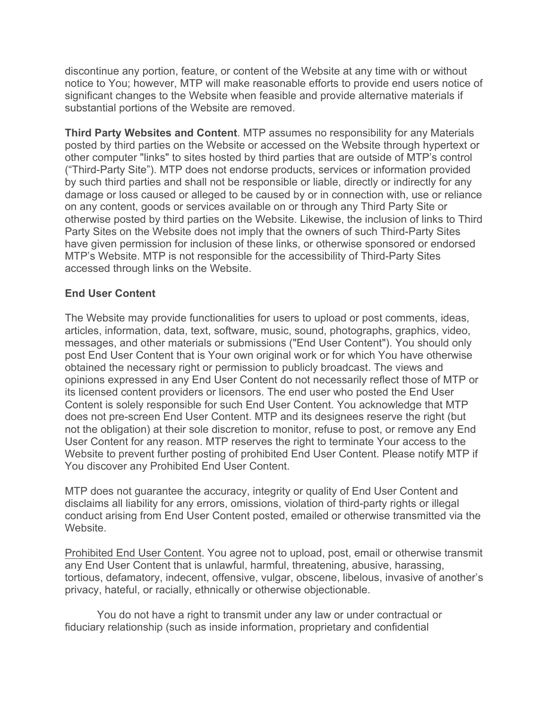discontinue any portion, feature, or content of the Website at any time with or without notice to You; however, MTP will make reasonable efforts to provide end users notice of significant changes to the Website when feasible and provide alternative materials if substantial portions of the Website are removed.

**Third Party Websites and Content**. MTP assumes no responsibility for any Materials posted by third parties on the Website or accessed on the Website through hypertext or other computer "links" to sites hosted by third parties that are outside of MTP's control ("Third-Party Site"). MTP does not endorse products, services or information provided by such third parties and shall not be responsible or liable, directly or indirectly for any damage or loss caused or alleged to be caused by or in connection with, use or reliance on any content, goods or services available on or through any Third Party Site or otherwise posted by third parties on the Website. Likewise, the inclusion of links to Third Party Sites on the Website does not imply that the owners of such Third-Party Sites have given permission for inclusion of these links, or otherwise sponsored or endorsed MTP's Website. MTP is not responsible for the accessibility of Third-Party Sites accessed through links on the Website.

### **End User Content**

The Website may provide functionalities for users to upload or post comments, ideas, articles, information, data, text, software, music, sound, photographs, graphics, video, messages, and other materials or submissions ("End User Content"). You should only post End User Content that is Your own original work or for which You have otherwise obtained the necessary right or permission to publicly broadcast. The views and opinions expressed in any End User Content do not necessarily reflect those of MTP or its licensed content providers or licensors. The end user who posted the End User Content is solely responsible for such End User Content. You acknowledge that MTP does not pre-screen End User Content. MTP and its designees reserve the right (but not the obligation) at their sole discretion to monitor, refuse to post, or remove any End User Content for any reason. MTP reserves the right to terminate Your access to the Website to prevent further posting of prohibited End User Content. Please notify MTP if You discover any Prohibited End User Content.

MTP does not guarantee the accuracy, integrity or quality of End User Content and disclaims all liability for any errors, omissions, violation of third-party rights or illegal conduct arising from End User Content posted, emailed or otherwise transmitted via the Website.

Prohibited End User Content. You agree not to upload, post, email or otherwise transmit any End User Content that is unlawful, harmful, threatening, abusive, harassing, tortious, defamatory, indecent, offensive, vulgar, obscene, libelous, invasive of another's privacy, hateful, or racially, ethnically or otherwise objectionable.

You do not have a right to transmit under any law or under contractual or fiduciary relationship (such as inside information, proprietary and confidential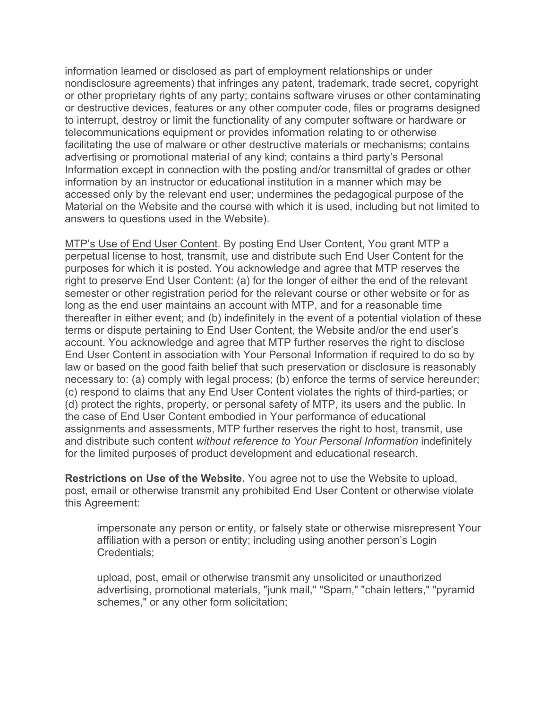information learned or disclosed as part of employment relationships or under nondisclosure agreements) that infringes any patent, trademark, trade secret, copyright or other proprietary rights of any party; contains software viruses or other contaminating or destructive devices, features or any other computer code, files or programs designed to interrupt, destroy or limit the functionality of any computer software or hardware or telecommunications equipment or provides information relating to or otherwise facilitating the use of malware or other destructive materials or mechanisms; contains advertising or promotional material of any kind; contains a third party's Personal Information except in connection with the posting and/or transmittal of grades or other information by an instructor or educational institution in a manner which may be accessed only by the relevant end user; undermines the pedagogical purpose of the Material on the Website and the course with which it is used, including but not limited to answers to questions used in the Website).

MTP's Use of End User Content. By posting End User Content, You grant MTP a perpetual license to host, transmit, use and distribute such End User Content for the purposes for which it is posted. You acknowledge and agree that MTP reserves the right to preserve End User Content: (a) for the longer of either the end of the relevant semester or other registration period for the relevant course or other website or for as long as the end user maintains an account with MTP, and for a reasonable time thereafter in either event; and (b) indefinitely in the event of a potential violation of these terms or dispute pertaining to End User Content, the Website and/or the end user's account. You acknowledge and agree that MTP further reserves the right to disclose End User Content in association with Your Personal Information if required to do so by law or based on the good faith belief that such preservation or disclosure is reasonably necessary to: (a) comply with legal process; (b) enforce the terms of service hereunder; (c) respond to claims that any End User Content violates the rights of third-parties; or (d) protect the rights, property, or personal safety of MTP, its users and the public. In the case of End User Content embodied in Your performance of educational assignments and assessments, MTP further reserves the right to host, transmit, use and distribute such content *without reference to Your Personal Information* indefinitely for the limited purposes of product development and educational research.

**Restrictions on Use of the Website.** You agree not to use the Website to upload, post, email or otherwise transmit any prohibited End User Content or otherwise violate this Agreement:

impersonate any person or entity, or falsely state or otherwise misrepresent Your affiliation with a person or entity; including using another person's Login Credentials;

upload, post, email or otherwise transmit any unsolicited or unauthorized advertising, promotional materials, "junk mail," "Spam," "chain letters," "pyramid schemes," or any other form solicitation;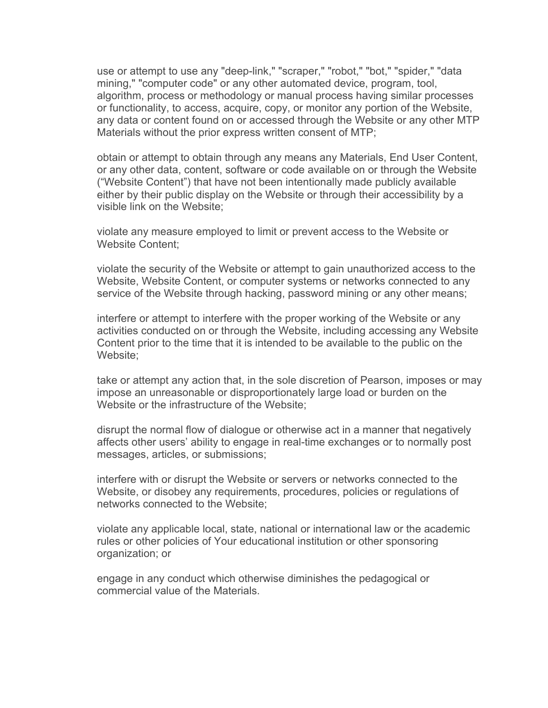use or attempt to use any "deep-link," "scraper," "robot," "bot," "spider," "data mining," "computer code" or any other automated device, program, tool, algorithm, process or methodology or manual process having similar processes or functionality, to access, acquire, copy, or monitor any portion of the Website, any data or content found on or accessed through the Website or any other MTP Materials without the prior express written consent of MTP;

obtain or attempt to obtain through any means any Materials, End User Content, or any other data, content, software or code available on or through the Website ("Website Content") that have not been intentionally made publicly available either by their public display on the Website or through their accessibility by a visible link on the Website;

violate any measure employed to limit or prevent access to the Website or Website Content;

violate the security of the Website or attempt to gain unauthorized access to the Website, Website Content, or computer systems or networks connected to any service of the Website through hacking, password mining or any other means;

interfere or attempt to interfere with the proper working of the Website or any activities conducted on or through the Website, including accessing any Website Content prior to the time that it is intended to be available to the public on the Website;

take or attempt any action that, in the sole discretion of Pearson, imposes or may impose an unreasonable or disproportionately large load or burden on the Website or the infrastructure of the Website;

disrupt the normal flow of dialogue or otherwise act in a manner that negatively affects other users' ability to engage in real-time exchanges or to normally post messages, articles, or submissions;

interfere with or disrupt the Website or servers or networks connected to the Website, or disobey any requirements, procedures, policies or regulations of networks connected to the Website;

violate any applicable local, state, national or international law or the academic rules or other policies of Your educational institution or other sponsoring organization; or

engage in any conduct which otherwise diminishes the pedagogical or commercial value of the Materials.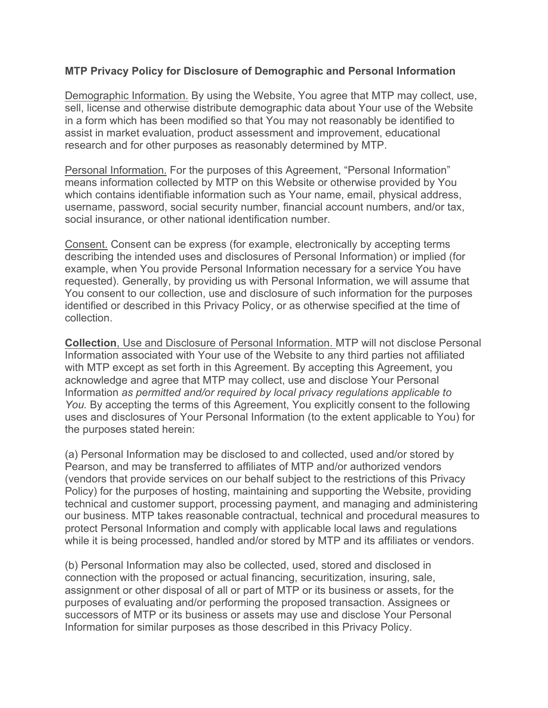#### **MTP Privacy Policy for Disclosure of Demographic and Personal Information**

Demographic Information. By using the Website, You agree that MTP may collect, use, sell, license and otherwise distribute demographic data about Your use of the Website in a form which has been modified so that You may not reasonably be identified to assist in market evaluation, product assessment and improvement, educational research and for other purposes as reasonably determined by MTP.

Personal Information. For the purposes of this Agreement, "Personal Information" means information collected by MTP on this Website or otherwise provided by You which contains identifiable information such as Your name, email, physical address, username, password, social security number, financial account numbers, and/or tax, social insurance, or other national identification number.

Consent. Consent can be express (for example, electronically by accepting terms describing the intended uses and disclosures of Personal Information) or implied (for example, when You provide Personal Information necessary for a service You have requested). Generally, by providing us with Personal Information, we will assume that You consent to our collection, use and disclosure of such information for the purposes identified or described in this Privacy Policy, or as otherwise specified at the time of collection.

**Collection**, Use and Disclosure of Personal Information. MTP will not disclose Personal Information associated with Your use of the Website to any third parties not affiliated with MTP except as set forth in this Agreement. By accepting this Agreement, you acknowledge and agree that MTP may collect, use and disclose Your Personal Information *as permitted and/or required by local privacy regulations applicable to You.* By accepting the terms of this Agreement, You explicitly consent to the following uses and disclosures of Your Personal Information (to the extent applicable to You) for the purposes stated herein:

(a) Personal Information may be disclosed to and collected, used and/or stored by Pearson, and may be transferred to affiliates of MTP and/or authorized vendors (vendors that provide services on our behalf subject to the restrictions of this Privacy Policy) for the purposes of hosting, maintaining and supporting the Website, providing technical and customer support, processing payment, and managing and administering our business. MTP takes reasonable contractual, technical and procedural measures to protect Personal Information and comply with applicable local laws and regulations while it is being processed, handled and/or stored by MTP and its affiliates or vendors.

(b) Personal Information may also be collected, used, stored and disclosed in connection with the proposed or actual financing, securitization, insuring, sale, assignment or other disposal of all or part of MTP or its business or assets, for the purposes of evaluating and/or performing the proposed transaction. Assignees or successors of MTP or its business or assets may use and disclose Your Personal Information for similar purposes as those described in this Privacy Policy.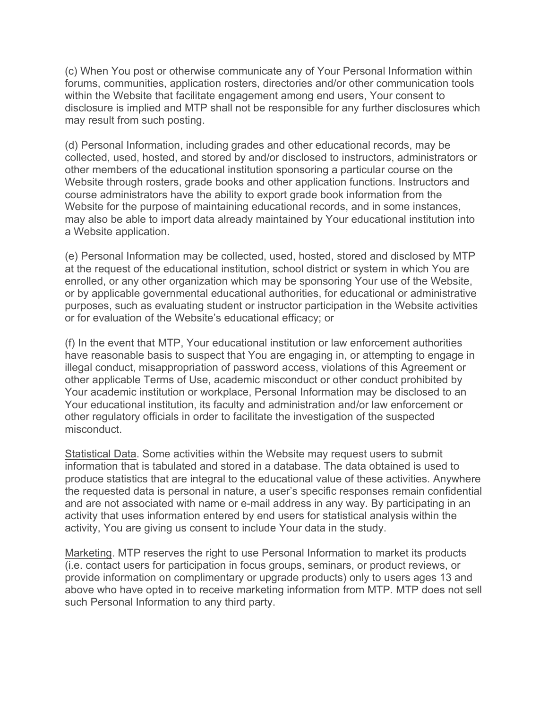(c) When You post or otherwise communicate any of Your Personal Information within forums, communities, application rosters, directories and/or other communication tools within the Website that facilitate engagement among end users, Your consent to disclosure is implied and MTP shall not be responsible for any further disclosures which may result from such posting.

(d) Personal Information, including grades and other educational records, may be collected, used, hosted, and stored by and/or disclosed to instructors, administrators or other members of the educational institution sponsoring a particular course on the Website through rosters, grade books and other application functions. Instructors and course administrators have the ability to export grade book information from the Website for the purpose of maintaining educational records, and in some instances, may also be able to import data already maintained by Your educational institution into a Website application.

(e) Personal Information may be collected, used, hosted, stored and disclosed by MTP at the request of the educational institution, school district or system in which You are enrolled, or any other organization which may be sponsoring Your use of the Website, or by applicable governmental educational authorities, for educational or administrative purposes, such as evaluating student or instructor participation in the Website activities or for evaluation of the Website's educational efficacy; or

(f) In the event that MTP, Your educational institution or law enforcement authorities have reasonable basis to suspect that You are engaging in, or attempting to engage in illegal conduct, misappropriation of password access, violations of this Agreement or other applicable Terms of Use, academic misconduct or other conduct prohibited by Your academic institution or workplace, Personal Information may be disclosed to an Your educational institution, its faculty and administration and/or law enforcement or other regulatory officials in order to facilitate the investigation of the suspected misconduct.

Statistical Data. Some activities within the Website may request users to submit information that is tabulated and stored in a database. The data obtained is used to produce statistics that are integral to the educational value of these activities. Anywhere the requested data is personal in nature, a user's specific responses remain confidential and are not associated with name or e-mail address in any way. By participating in an activity that uses information entered by end users for statistical analysis within the activity, You are giving us consent to include Your data in the study.

Marketing. MTP reserves the right to use Personal Information to market its products (i.e. contact users for participation in focus groups, seminars, or product reviews, or provide information on complimentary or upgrade products) only to users ages 13 and above who have opted in to receive marketing information from MTP. MTP does not sell such Personal Information to any third party.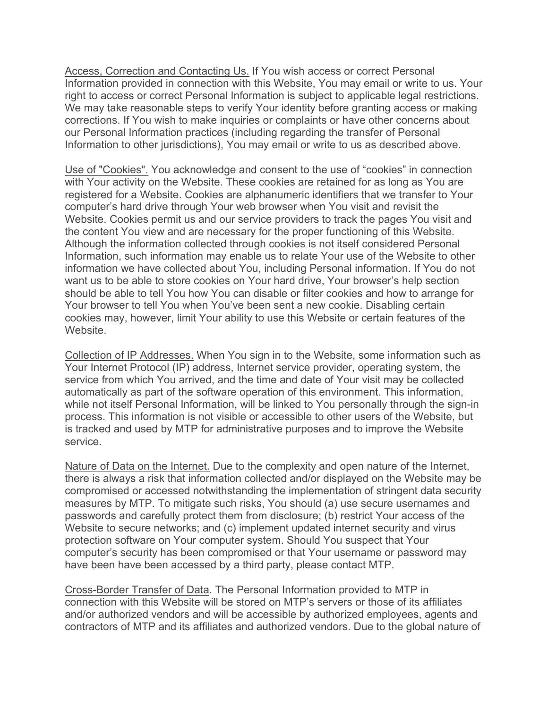Access, Correction and Contacting Us. If You wish access or correct Personal Information provided in connection with this Website, You may email or write to us. Your right to access or correct Personal Information is subject to applicable legal restrictions. We may take reasonable steps to verify Your identity before granting access or making corrections. If You wish to make inquiries or complaints or have other concerns about our Personal Information practices (including regarding the transfer of Personal Information to other jurisdictions), You may email or write to us as described above.

Use of "Cookies". You acknowledge and consent to the use of "cookies" in connection with Your activity on the Website. These cookies are retained for as long as You are registered for a Website. Cookies are alphanumeric identifiers that we transfer to Your computer's hard drive through Your web browser when You visit and revisit the Website. Cookies permit us and our service providers to track the pages You visit and the content You view and are necessary for the proper functioning of this Website. Although the information collected through cookies is not itself considered Personal Information, such information may enable us to relate Your use of the Website to other information we have collected about You, including Personal information. If You do not want us to be able to store cookies on Your hard drive, Your browser's help section should be able to tell You how You can disable or filter cookies and how to arrange for Your browser to tell You when You've been sent a new cookie. Disabling certain cookies may, however, limit Your ability to use this Website or certain features of the Website.

Collection of IP Addresses. When You sign in to the Website, some information such as Your Internet Protocol (IP) address, Internet service provider, operating system, the service from which You arrived, and the time and date of Your visit may be collected automatically as part of the software operation of this environment. This information, while not itself Personal Information, will be linked to You personally through the sign-in process. This information is not visible or accessible to other users of the Website, but is tracked and used by MTP for administrative purposes and to improve the Website service.

Nature of Data on the Internet. Due to the complexity and open nature of the Internet, there is always a risk that information collected and/or displayed on the Website may be compromised or accessed notwithstanding the implementation of stringent data security measures by MTP. To mitigate such risks, You should (a) use secure usernames and passwords and carefully protect them from disclosure; (b) restrict Your access of the Website to secure networks; and (c) implement updated internet security and virus protection software on Your computer system. Should You suspect that Your computer's security has been compromised or that Your username or password may have been have been accessed by a third party, please contact MTP.

Cross-Border Transfer of Data. The Personal Information provided to MTP in connection with this Website will be stored on MTP's servers or those of its affiliates and/or authorized vendors and will be accessible by authorized employees, agents and contractors of MTP and its affiliates and authorized vendors. Due to the global nature of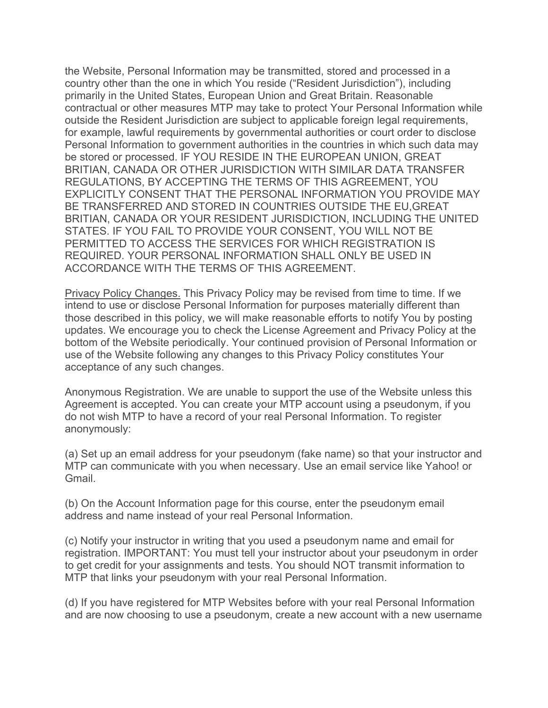the Website, Personal Information may be transmitted, stored and processed in a country other than the one in which You reside ("Resident Jurisdiction"), including primarily in the United States, European Union and Great Britain. Reasonable contractual or other measures MTP may take to protect Your Personal Information while outside the Resident Jurisdiction are subject to applicable foreign legal requirements, for example, lawful requirements by governmental authorities or court order to disclose Personal Information to government authorities in the countries in which such data may be stored or processed. IF YOU RESIDE IN THE EUROPEAN UNION, GREAT BRITIAN, CANADA OR OTHER JURISDICTION WITH SIMILAR DATA TRANSFER REGULATIONS, BY ACCEPTING THE TERMS OF THIS AGREEMENT, YOU EXPLICITLY CONSENT THAT THE PERSONAL INFORMATION YOU PROVIDE MAY BE TRANSFERRED AND STORED IN COUNTRIES OUTSIDE THE EU,GREAT BRITIAN, CANADA OR YOUR RESIDENT JURISDICTION, INCLUDING THE UNITED STATES. IF YOU FAIL TO PROVIDE YOUR CONSENT, YOU WILL NOT BE PERMITTED TO ACCESS THE SERVICES FOR WHICH REGISTRATION IS REQUIRED. YOUR PERSONAL INFORMATION SHALL ONLY BE USED IN ACCORDANCE WITH THE TERMS OF THIS AGREEMENT.

Privacy Policy Changes. This Privacy Policy may be revised from time to time. If we intend to use or disclose Personal Information for purposes materially different than those described in this policy, we will make reasonable efforts to notify You by posting updates. We encourage you to check the License Agreement and Privacy Policy at the bottom of the Website periodically. Your continued provision of Personal Information or use of the Website following any changes to this Privacy Policy constitutes Your acceptance of any such changes.

Anonymous Registration. We are unable to support the use of the Website unless this Agreement is accepted. You can create your MTP account using a pseudonym, if you do not wish MTP to have a record of your real Personal Information. To register anonymously:

(a) Set up an email address for your pseudonym (fake name) so that your instructor and MTP can communicate with you when necessary. Use an email service like Yahoo! or Gmail.

(b) On the Account Information page for this course, enter the pseudonym email address and name instead of your real Personal Information.

(c) Notify your instructor in writing that you used a pseudonym name and email for registration. IMPORTANT: You must tell your instructor about your pseudonym in order to get credit for your assignments and tests. You should NOT transmit information to MTP that links your pseudonym with your real Personal Information.

(d) If you have registered for MTP Websites before with your real Personal Information and are now choosing to use a pseudonym, create a new account with a new username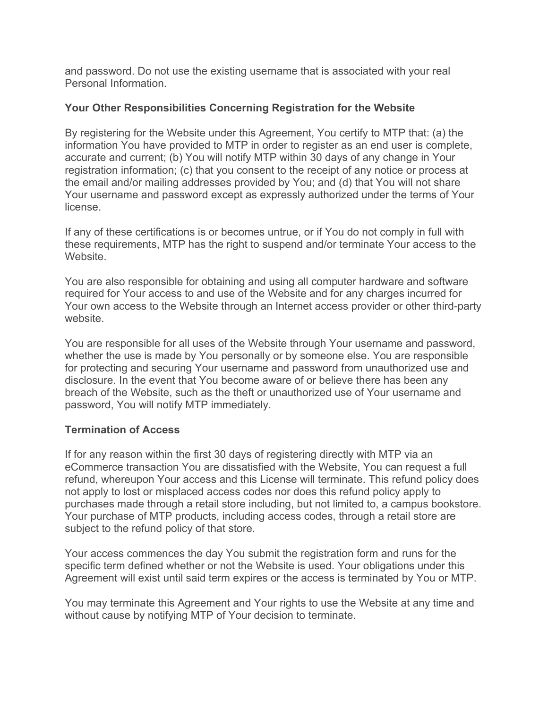and password. Do not use the existing username that is associated with your real Personal Information.

## **Your Other Responsibilities Concerning Registration for the Website**

By registering for the Website under this Agreement, You certify to MTP that: (a) the information You have provided to MTP in order to register as an end user is complete, accurate and current; (b) You will notify MTP within 30 days of any change in Your registration information; (c) that you consent to the receipt of any notice or process at the email and/or mailing addresses provided by You; and (d) that You will not share Your username and password except as expressly authorized under the terms of Your license.

If any of these certifications is or becomes untrue, or if You do not comply in full with these requirements, MTP has the right to suspend and/or terminate Your access to the Website.

You are also responsible for obtaining and using all computer hardware and software required for Your access to and use of the Website and for any charges incurred for Your own access to the Website through an Internet access provider or other third-party website.

You are responsible for all uses of the Website through Your username and password, whether the use is made by You personally or by someone else. You are responsible for protecting and securing Your username and password from unauthorized use and disclosure. In the event that You become aware of or believe there has been any breach of the Website, such as the theft or unauthorized use of Your username and password, You will notify MTP immediately.

#### **Termination of Access**

If for any reason within the first 30 days of registering directly with MTP via an eCommerce transaction You are dissatisfied with the Website, You can request a full refund, whereupon Your access and this License will terminate. This refund policy does not apply to lost or misplaced access codes nor does this refund policy apply to purchases made through a retail store including, but not limited to, a campus bookstore. Your purchase of MTP products, including access codes, through a retail store are subject to the refund policy of that store.

Your access commences the day You submit the registration form and runs for the specific term defined whether or not the Website is used. Your obligations under this Agreement will exist until said term expires or the access is terminated by You or MTP.

You may terminate this Agreement and Your rights to use the Website at any time and without cause by notifying MTP of Your decision to terminate.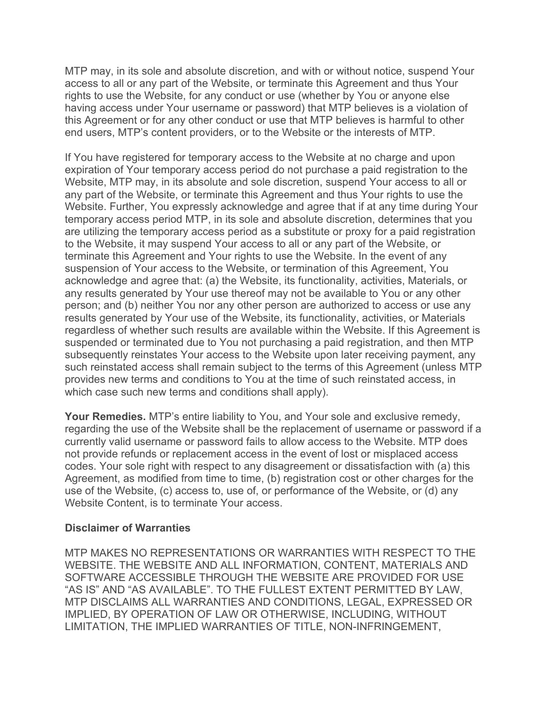MTP may, in its sole and absolute discretion, and with or without notice, suspend Your access to all or any part of the Website, or terminate this Agreement and thus Your rights to use the Website, for any conduct or use (whether by You or anyone else having access under Your username or password) that MTP believes is a violation of this Agreement or for any other conduct or use that MTP believes is harmful to other end users, MTP's content providers, or to the Website or the interests of MTP.

If You have registered for temporary access to the Website at no charge and upon expiration of Your temporary access period do not purchase a paid registration to the Website, MTP may, in its absolute and sole discretion, suspend Your access to all or any part of the Website, or terminate this Agreement and thus Your rights to use the Website. Further, You expressly acknowledge and agree that if at any time during Your temporary access period MTP, in its sole and absolute discretion, determines that you are utilizing the temporary access period as a substitute or proxy for a paid registration to the Website, it may suspend Your access to all or any part of the Website, or terminate this Agreement and Your rights to use the Website. In the event of any suspension of Your access to the Website, or termination of this Agreement, You acknowledge and agree that: (a) the Website, its functionality, activities, Materials, or any results generated by Your use thereof may not be available to You or any other person; and (b) neither You nor any other person are authorized to access or use any results generated by Your use of the Website, its functionality, activities, or Materials regardless of whether such results are available within the Website. If this Agreement is suspended or terminated due to You not purchasing a paid registration, and then MTP subsequently reinstates Your access to the Website upon later receiving payment, any such reinstated access shall remain subject to the terms of this Agreement (unless MTP provides new terms and conditions to You at the time of such reinstated access, in which case such new terms and conditions shall apply).

**Your Remedies.** MTP's entire liability to You, and Your sole and exclusive remedy, regarding the use of the Website shall be the replacement of username or password if a currently valid username or password fails to allow access to the Website. MTP does not provide refunds or replacement access in the event of lost or misplaced access codes. Your sole right with respect to any disagreement or dissatisfaction with (a) this Agreement, as modified from time to time, (b) registration cost or other charges for the use of the Website, (c) access to, use of, or performance of the Website, or (d) any Website Content, is to terminate Your access.

#### **Disclaimer of Warranties**

MTP MAKES NO REPRESENTATIONS OR WARRANTIES WITH RESPECT TO THE WEBSITE. THE WEBSITE AND ALL INFORMATION, CONTENT, MATERIALS AND SOFTWARE ACCESSIBLE THROUGH THE WEBSITE ARE PROVIDED FOR USE "AS IS" AND "AS AVAILABLE". TO THE FULLEST EXTENT PERMITTED BY LAW, MTP DISCLAIMS ALL WARRANTIES AND CONDITIONS, LEGAL, EXPRESSED OR IMPLIED, BY OPERATION OF LAW OR OTHERWISE, INCLUDING, WITHOUT LIMITATION, THE IMPLIED WARRANTIES OF TITLE, NON-INFRINGEMENT,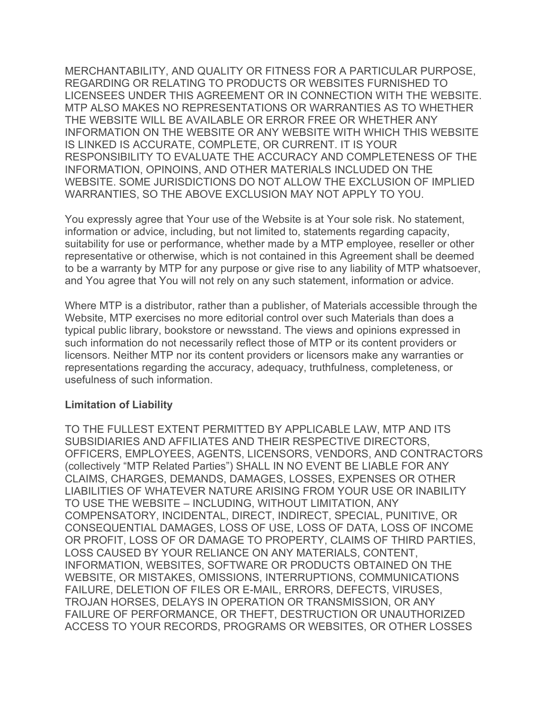MERCHANTABILITY, AND QUALITY OR FITNESS FOR A PARTICULAR PURPOSE, REGARDING OR RELATING TO PRODUCTS OR WEBSITES FURNISHED TO LICENSEES UNDER THIS AGREEMENT OR IN CONNECTION WITH THE WEBSITE. MTP ALSO MAKES NO REPRESENTATIONS OR WARRANTIES AS TO WHETHER THE WEBSITE WILL BE AVAILABLE OR ERROR FREE OR WHETHER ANY INFORMATION ON THE WEBSITE OR ANY WEBSITE WITH WHICH THIS WEBSITE IS LINKED IS ACCURATE, COMPLETE, OR CURRENT. IT IS YOUR RESPONSIBILITY TO EVALUATE THE ACCURACY AND COMPLETENESS OF THE INFORMATION, OPINOINS, AND OTHER MATERIALS INCLUDED ON THE WEBSITE. SOME JURISDICTIONS DO NOT ALLOW THE EXCLUSION OF IMPLIED WARRANTIES, SO THE ABOVE EXCLUSION MAY NOT APPLY TO YOU.

You expressly agree that Your use of the Website is at Your sole risk. No statement, information or advice, including, but not limited to, statements regarding capacity, suitability for use or performance, whether made by a MTP employee, reseller or other representative or otherwise, which is not contained in this Agreement shall be deemed to be a warranty by MTP for any purpose or give rise to any liability of MTP whatsoever, and You agree that You will not rely on any such statement, information or advice.

Where MTP is a distributor, rather than a publisher, of Materials accessible through the Website, MTP exercises no more editorial control over such Materials than does a typical public library, bookstore or newsstand. The views and opinions expressed in such information do not necessarily reflect those of MTP or its content providers or licensors. Neither MTP nor its content providers or licensors make any warranties or representations regarding the accuracy, adequacy, truthfulness, completeness, or usefulness of such information.

#### **Limitation of Liability**

TO THE FULLEST EXTENT PERMITTED BY APPLICABLE LAW, MTP AND ITS SUBSIDIARIES AND AFFILIATES AND THEIR RESPECTIVE DIRECTORS, OFFICERS, EMPLOYEES, AGENTS, LICENSORS, VENDORS, AND CONTRACTORS (collectively "MTP Related Parties") SHALL IN NO EVENT BE LIABLE FOR ANY CLAIMS, CHARGES, DEMANDS, DAMAGES, LOSSES, EXPENSES OR OTHER LIABILITIES OF WHATEVER NATURE ARISING FROM YOUR USE OR INABILITY TO USE THE WEBSITE – INCLUDING, WITHOUT LIMITATION, ANY COMPENSATORY, INCIDENTAL, DIRECT, INDIRECT, SPECIAL, PUNITIVE, OR CONSEQUENTIAL DAMAGES, LOSS OF USE, LOSS OF DATA, LOSS OF INCOME OR PROFIT, LOSS OF OR DAMAGE TO PROPERTY, CLAIMS OF THIRD PARTIES, LOSS CAUSED BY YOUR RELIANCE ON ANY MATERIALS, CONTENT, INFORMATION, WEBSITES, SOFTWARE OR PRODUCTS OBTAINED ON THE WEBSITE, OR MISTAKES, OMISSIONS, INTERRUPTIONS, COMMUNICATIONS FAILURE, DELETION OF FILES OR E-MAIL, ERRORS, DEFECTS, VIRUSES, TROJAN HORSES, DELAYS IN OPERATION OR TRANSMISSION, OR ANY FAILURE OF PERFORMANCE, OR THEFT, DESTRUCTION OR UNAUTHORIZED ACCESS TO YOUR RECORDS, PROGRAMS OR WEBSITES, OR OTHER LOSSES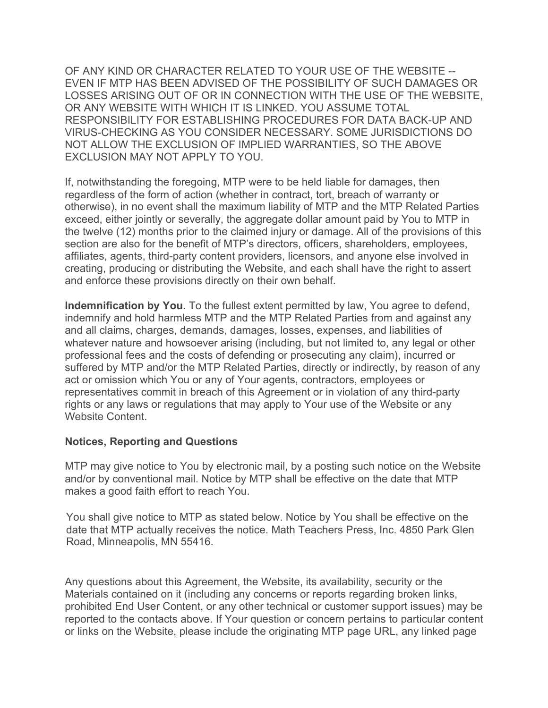OF ANY KIND OR CHARACTER RELATED TO YOUR USE OF THE WEBSITE -- EVEN IF MTP HAS BEEN ADVISED OF THE POSSIBILITY OF SUCH DAMAGES OR LOSSES ARISING OUT OF OR IN CONNECTION WITH THE USE OF THE WEBSITE, OR ANY WEBSITE WITH WHICH IT IS LINKED. YOU ASSUME TOTAL RESPONSIBILITY FOR ESTABLISHING PROCEDURES FOR DATA BACK-UP AND VIRUS-CHECKING AS YOU CONSIDER NECESSARY. SOME JURISDICTIONS DO NOT ALLOW THE EXCLUSION OF IMPLIED WARRANTIES, SO THE ABOVE EXCLUSION MAY NOT APPLY TO YOU.

If, notwithstanding the foregoing, MTP were to be held liable for damages, then regardless of the form of action (whether in contract, tort, breach of warranty or otherwise), in no event shall the maximum liability of MTP and the MTP Related Parties exceed, either jointly or severally, the aggregate dollar amount paid by You to MTP in the twelve (12) months prior to the claimed injury or damage. All of the provisions of this section are also for the benefit of MTP's directors, officers, shareholders, employees, affiliates, agents, third-party content providers, licensors, and anyone else involved in creating, producing or distributing the Website, and each shall have the right to assert and enforce these provisions directly on their own behalf.

**Indemnification by You.** To the fullest extent permitted by law, You agree to defend, indemnify and hold harmless MTP and the MTP Related Parties from and against any and all claims, charges, demands, damages, losses, expenses, and liabilities of whatever nature and howsoever arising (including, but not limited to, any legal or other professional fees and the costs of defending or prosecuting any claim), incurred or suffered by MTP and/or the MTP Related Parties, directly or indirectly, by reason of any act or omission which You or any of Your agents, contractors, employees or representatives commit in breach of this Agreement or in violation of any third-party rights or any laws or regulations that may apply to Your use of the Website or any Website Content.

#### **Notices, Reporting and Questions**

MTP may give notice to You by electronic mail, by a posting such notice on the Website and/or by conventional mail. Notice by MTP shall be effective on the date that MTP makes a good faith effort to reach You.

You shall give notice to MTP as stated below. Notice by You shall be effective on the date that MTP actually receives the notice. Math Teachers Press, Inc. 4850 Park Glen Road, Minneapolis, MN 55416.

Any questions about this Agreement, the Website, its availability, security or the Materials contained on it (including any concerns or reports regarding broken links, prohibited End User Content, or any other technical or customer support issues) may be reported to the contacts above. If Your question or concern pertains to particular content or links on the Website, please include the originating MTP page URL, any linked page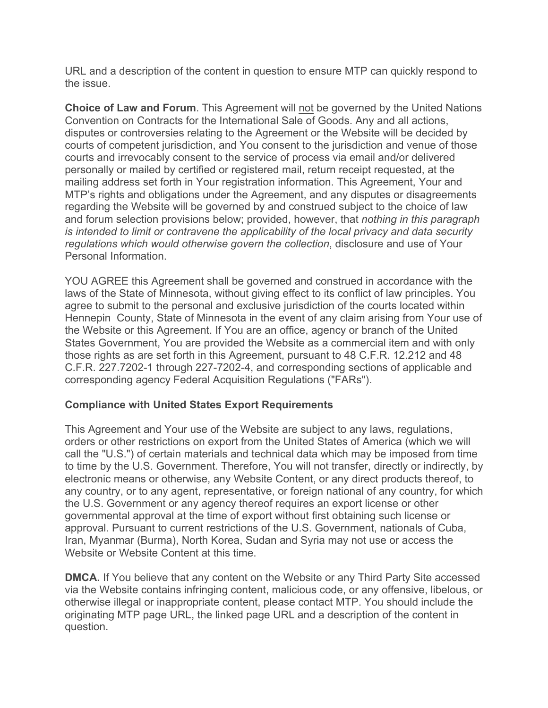URL and a description of the content in question to ensure MTP can quickly respond to the issue.

**Choice of Law and Forum**. This Agreement will not be governed by the United Nations Convention on Contracts for the International Sale of Goods. Any and all actions, disputes or controversies relating to the Agreement or the Website will be decided by courts of competent jurisdiction, and You consent to the jurisdiction and venue of those courts and irrevocably consent to the service of process via email and/or delivered personally or mailed by certified or registered mail, return receipt requested, at the mailing address set forth in Your registration information. This Agreement, Your and MTP's rights and obligations under the Agreement, and any disputes or disagreements regarding the Website will be governed by and construed subject to the choice of law and forum selection provisions below; provided, however, that *nothing in this paragraph is intended to limit or contravene the applicability of the local privacy and data security regulations which would otherwise govern the collection*, disclosure and use of Your Personal Information.

YOU AGREE this Agreement shall be governed and construed in accordance with the laws of the State of Minnesota, without giving effect to its conflict of law principles. You agree to submit to the personal and exclusive jurisdiction of the courts located within Hennepin County, State of Minnesota in the event of any claim arising from Your use of the Website or this Agreement. If You are an office, agency or branch of the United States Government, You are provided the Website as a commercial item and with only those rights as are set forth in this Agreement, pursuant to 48 C.F.R. 12.212 and 48 C.F.R. 227.7202-1 through 227-7202-4, and corresponding sections of applicable and corresponding agency Federal Acquisition Regulations ("FARs").

## **Compliance with United States Export Requirements**

This Agreement and Your use of the Website are subject to any laws, regulations, orders or other restrictions on export from the United States of America (which we will call the "U.S.") of certain materials and technical data which may be imposed from time to time by the U.S. Government. Therefore, You will not transfer, directly or indirectly, by electronic means or otherwise, any Website Content, or any direct products thereof, to any country, or to any agent, representative, or foreign national of any country, for which the U.S. Government or any agency thereof requires an export license or other governmental approval at the time of export without first obtaining such license or approval. Pursuant to current restrictions of the U.S. Government, nationals of Cuba, Iran, Myanmar (Burma), North Korea, Sudan and Syria may not use or access the Website or Website Content at this time.

**DMCA.** If You believe that any content on the Website or any Third Party Site accessed via the Website contains infringing content, malicious code, or any offensive, libelous, or otherwise illegal or inappropriate content, please contact MTP. You should include the originating MTP page URL, the linked page URL and a description of the content in question.